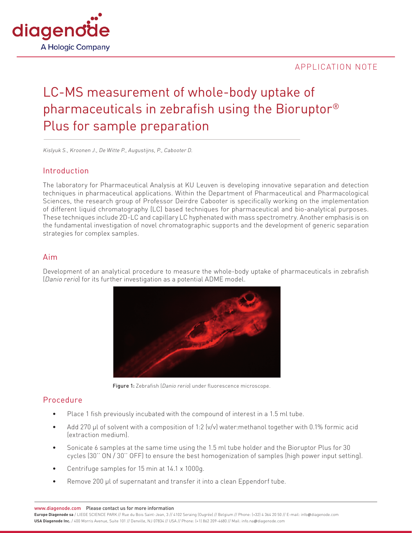

## APPLICATION NOTE

# LC-MS measurement of whole-body uptake of pharmaceuticals in zebrafish using the Bioruptor® Plus for sample preparation

Kislyuk S., Kroonen J., De Witte P., Augustijns, P., Cabooter D.

## Introduction

The laboratory for Pharmaceutical Analysis at KU Leuven is developing innovative separation and detection techniques in pharmaceutical applications. Within the Department of Pharmaceutical and Pharmacological Sciences, the research group of Professor Deirdre Cabooter is specifically working on the implementation of different liquid chromatography (LC) based techniques for pharmaceutical and bio-analytical purposes. These techniques include 2D-LC and capillary LC hyphenated with mass spectrometry. Another emphasis is on the fundamental investigation of novel chromatographic supports and the development of generic separation strategies for complex samples.

#### Aim

Development of an analytical procedure to measure the whole-body uptake of pharmaceuticals in zebrafish (Danio rerio) for its further investigation as a potential ADME model.



Figure 1: Zebrafish (Danio rerio) under fluorescence microscope.

## Procedure

- Place 1 fish previously incubated with the compound of interest in a 1.5 ml tube.
- Add 270 µl of solvent with a composition of 1:2 (v/v) water:methanol together with 0.1% formic acid (extraction medium).
- Sonicate 6 samples at the same time using the 1.5 ml tube holder and the Bioruptor Plus for 30 cycles (30'' ON / 30'' OFF) to ensure the best homogenization of samples (high power input setting).
- Centrifuge samples for 15 min at 14.1 x 1000g.
- Remove 200 µl of supernatant and transfer it into a clean Eppendorf tube.